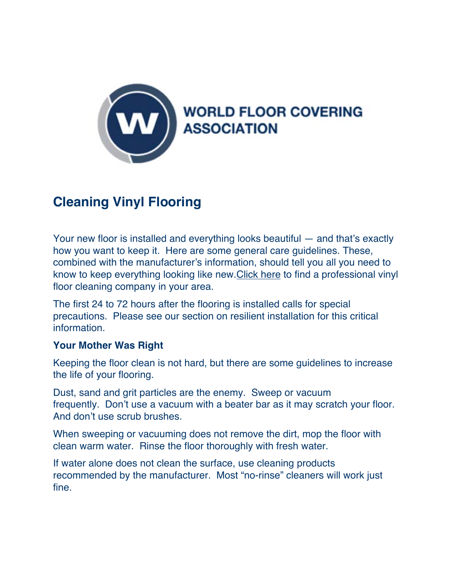

## **Cleaning Vinyl Flooring**

Your new floor is installed and everything looks beautiful — and that's exactly how you want to keep it. Here are some general care guidelines. These, combined with the manufacturer's information, should tell you all you need to know to keep everything looking like new.Click here to find a professional vinyl floor cleaning company in your area.

The first 24 to 72 hours after the flooring is installed calls for special precautions. Please see our section on resilient installation for this critical **information** 

## **Your Mother Was Right**

Keeping the floor clean is not hard, but there are some guidelines to increase the life of your flooring.

Dust, sand and grit particles are the enemy. Sweep or vacuum frequently. Don't use a vacuum with a beater bar as it may scratch your floor. And don't use scrub brushes.

When sweeping or vacuuming does not remove the dirt, mop the floor with clean warm water. Rinse the floor thoroughly with fresh water.

If water alone does not clean the surface, use cleaning products recommended by the manufacturer. Most "no-rinse" cleaners will work just fine.